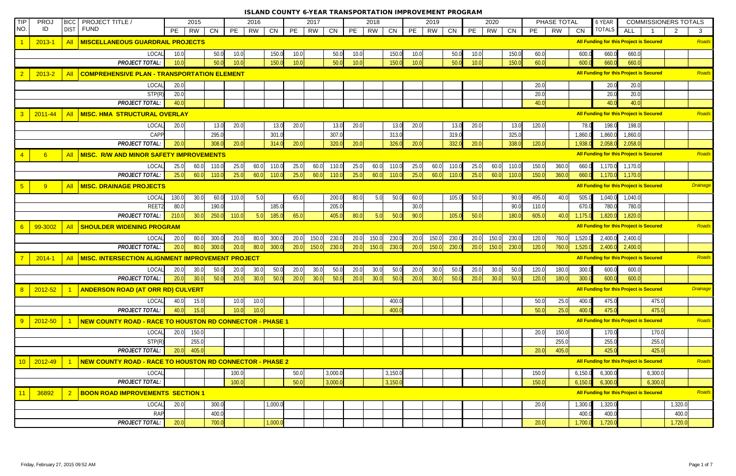| <b>TIP</b>     | <b>PROJ</b> | <b>BICC</b>    | PROJECT TITLE /                                                 | 2015            |                | 2016            |         | 2017     |                | 2018     |                |      | 2019      |           |      | 2020      |       |       | PHASE TOTAL |         | 6 YEAR                                         |            |         | <b>COMMISSIONERS TOTALS</b>    |
|----------------|-------------|----------------|-----------------------------------------------------------------|-----------------|----------------|-----------------|---------|----------|----------------|----------|----------------|------|-----------|-----------|------|-----------|-------|-------|-------------|---------|------------------------------------------------|------------|---------|--------------------------------|
| NO.            | ID          | <b>DIST</b>    | <b>FUND</b>                                                     | PE<br><b>RW</b> | CN             | PE<br><b>RW</b> | CN      | PE<br>RW | CN             | PE<br>RW | CN             | PE   | <b>RW</b> | <b>CN</b> | PE   | <b>RW</b> | CN    | PE    | <b>RW</b>   | CN      | <b>TOTALS</b>                                  | <b>ALL</b> |         | $\overline{2}$<br>$\mathbf{3}$ |
|                | $2013 - 1$  | <b>All</b>     | <b>MISCELLANEOUS GUARDRAIL PROJECTS</b>                         |                 |                |                 |         |          |                |          |                |      |           |           |      |           |       |       |             |         | All Funding for this Project is Secured        |            |         | Roads                          |
|                |             |                | LOCAL                                                           | 10.0            | 50.0           | 10.0            | 150.0   | 10.0     | 50.0           | 10.0     | 150.0          | 10.0 |           | 50.0      | 10.0 |           | 150.0 | 60.0  |             | 600.0   | 660.0                                          | 660.0      |         |                                |
|                |             |                | <b>PROJECT TOTAL:</b>                                           | 10.0            | 50.0           | 10.0            | 150.0   | 10.0     | 50.0           | 10.0     | 150.0          | 10.0 |           | 50.0      | 10.0 |           | 150.0 | 60.0  |             | 600.0   | 660.0                                          | 660.0      |         |                                |
|                | $2013 - 2$  | <b>All</b>     | COMPREHENSIVE PLAN - TRANSPORTATION ELEMENT                     |                 |                |                 |         |          |                |          |                |      |           |           |      |           |       |       |             |         | All Funding for this Project is Secured        |            |         | Roads                          |
|                |             |                | LOCAL                                                           | 20.0            |                |                 |         |          |                |          |                |      |           |           |      |           |       | 20.0  |             |         | 20.0                                           | 20.0       |         |                                |
|                |             |                | STP(R)                                                          | 20.0            |                |                 |         |          |                |          |                |      |           |           |      |           |       | 20.0  |             |         | 20.0                                           | 20.0       |         |                                |
|                |             |                | <b>PROJECT TOTAL:</b>                                           | 40.0            |                |                 |         |          |                |          |                |      |           |           |      |           |       | 40.0  |             |         | 40.0                                           | 40.0       |         |                                |
| $\overline{3}$ | $2011 - 44$ | <b>All</b>     | MISC. HMA STRUCTURAL OVERLAY                                    |                 |                |                 |         |          |                |          |                |      |           |           |      |           |       |       |             |         | All Funding for this Project is Secured        |            |         | Roads                          |
|                |             |                | LOCAL                                                           | 20.0            | 13.0           | 20.0            | 13.0    | 20.0     | 13.0           | 20.0     | 13.0           | 20.0 |           | 13.0      | 20.0 |           | 13.0  | 120.0 |             | 78.0    | 198.0                                          | 198.0      |         |                                |
|                |             |                | CAPP                                                            |                 | 295.0          |                 | 301.0   |          | 307.0          |          | 313.0          |      |           | 319.0     |      |           | 325.0 |       |             | 1,860.0 | 1,860.0                                        | 1,860.0    |         |                                |
|                |             |                | <b>PROJECT TOTAL:</b>                                           | 20.0            | 308.0          | 20.0            | 314.0   | 20.0     | 320.0          | 20.0     | 326.0          | 20.0 |           | 332.0     | 20.0 |           | 338.0 | 120.0 |             | 1,938.  | 2,058.0                                        | 2,058.0    |         |                                |
|                | 6           | <b>All</b>     | MISC. R/W AND MINOR SAFETY IMPROVEMENTS                         |                 |                |                 |         |          |                |          |                |      |           |           |      |           |       |       |             |         | <b>All Funding for this Project is Secured</b> |            |         | Roads                          |
|                |             |                | LOCAL                                                           | 25.0<br>60.0    | 110.0          | 25.0<br>60.0    | 110.0   | 25.0     | 60.0<br>110.0  | 25.0     | 60.0 110.0     | 25.0 | 60.0      | 110.0     | 25.0 | 60.0      | 110.0 | 150.0 | 360.0       | 660.0   | 1,170.0                                        | 1,170.0    |         |                                |
|                |             |                | <b>PROJECT TOTAL:</b>                                           | 25.0<br>60.0    | 110.0          | 25.0<br>60.0    | 110.0   | 25.0     | 60.0<br>110.0  | 25.0     | 60.0<br>110.0  | 25.0 | 60.0      | 110.0     | 25.0 | 60.0      | 110.0 | 150.0 | 360.0       | 660.0   | 1,170.0                                        | 1,170.0    |         |                                |
| 5 <sup>5</sup> | 9           | <b>All</b>     | <b>MISC. DRAINAGE PROJECTS</b>                                  |                 |                |                 |         |          |                |          |                |      |           |           |      |           |       |       |             |         | All Funding for this Project is Secured        |            |         | <b>Drainage</b>                |
|                |             |                | LOCAL                                                           | 30.0<br>130.0   | 60.0           | 5.0<br>110.0    |         | 65.0     | 200.0          | 80.0     | 5.0<br>50.0    | 60.0 |           | 105.0     | 50.0 |           | 90.0  | 495.0 | 40.0        | 505.0   | 1,040.0                                        | 1,040.0    |         |                                |
|                |             |                | REET2                                                           | 80.0            | 190.0          |                 | 185.0   |          | 205.0          |          |                | 30.0 |           |           |      |           | 90.0  | 110.0 |             | 670.0   | 780.0                                          | 780.0      |         |                                |
|                |             |                | <b>PROJECT TOTAL:</b>                                           | 210.0<br>30.0   | 250.0          | 110.0<br>5.0    | 185.0   | 65.0     | 405.0          | 80.0     | 5.0<br>50.0    | 90.0 |           | 105.0     | 50.0 |           | 180.0 | 605.0 | 40.0        | 1,175.0 | 1,820.0                                        | 1,820.0    |         |                                |
| 6              | 99-3002     | <b>All</b>     | <b>SHOULDER WIDENING PROGRAM</b>                                |                 |                |                 |         |          |                |          |                |      |           |           |      |           |       |       |             |         | <b>All Funding for this Project is Secured</b> |            |         | Roads                          |
|                |             |                | LOCAL                                                           | 20.0<br>80.0    | 300.0          | 20.0<br>80.0    | 300.0   | 20.0     | 230.0<br>150.0 | 20.0     | 230.0<br>150.0 | 20.0 | 150.0     | 230.0     | 20.0 | 150.0     | 230.0 | 120.0 | 760.0       | 1,520.0 | 2,400.0                                        | 2,400.0    |         |                                |
|                |             |                | <b>PROJECT TOTAL:</b>                                           | 20.0<br>80.0    | 300.0          | 80.0<br>20.0    | 300.0   | 20.0     | 150.0<br>230.0 | 20.0     | 150.0<br>230.0 | 20.0 | 150.0     | 230.0     | 20.0 | 150.0     | 230.0 | 120.0 | 760.0       | 1,520.0 | 2,400.0                                        | 2,400.0    |         |                                |
|                | $2014 - 1$  | <b>All</b>     | MISC. INTERSECTION ALIGNMENT IMPROVEMENT PROJECT                |                 |                |                 |         |          |                |          |                |      |           |           |      |           |       |       |             |         | All Funding for this Project is Secured        |            |         | Roads                          |
|                |             |                | LOCAL                                                           | 20.0<br>30.0    | 50.0           | 30.0<br>20.0    | 50.0    | 20.0     | 30.0<br>50.0   | 20.0     | 30.0<br>50.0   | 20.0 | 30.0      | 50.0      | 20.0 | 30.0      | 50.0  | 120.0 | 180.0       | 300.0   | 600.0                                          | 600.0      |         |                                |
|                |             |                | <b>PROJECT TOTAL:</b>                                           | 20.0<br>30.0    | 50.0           | 20.0<br>30.0    | 50.0    | 20.0     | 30.0<br>50.0   | 20.0     | 30.0<br>50.0   | 20.0 | 30.0      | 50.0      | 20.0 | 30.0      | 50.0  | 120.0 | 180.0       | 300.0   | 600.0                                          | 600.0      |         |                                |
|                | $2012 - 52$ |                | <b>ANDERSON ROAD (AT ORR RD) CULVERT</b>                        |                 |                |                 |         |          |                |          |                |      |           |           |      |           |       |       |             |         | <b>All Funding for this Project is Secured</b> |            |         | <b>Drainage</b>                |
|                |             |                | LOCAL                                                           | 40.0<br>15.0    |                | 10.0<br>10.0    |         |          |                |          | 400.0          |      |           |           |      |           |       | 50.0  | 25.0        | 400.0   | 475.0                                          |            | 475.0   |                                |
|                |             |                | <b>PROJECT TOTAL:</b>                                           | 40.0<br>15.0    |                | 10.0<br>10.0    |         |          |                |          | 400.0          |      |           |           |      |           |       | 50.0  | 25.0        | 400.0   | 475.0                                          |            | 475.0   |                                |
| 9              | 2012-50     |                | NEW COUNTY ROAD - RACE TO HOUSTON RD CONNECTOR - PHASE 1        |                 |                |                 |         |          |                |          |                |      |           |           |      |           |       |       |             |         | All Funding for this Project is Secured        |            |         | Roads                          |
|                |             |                | LOCAL                                                           | 20.0<br>150.0   |                |                 |         |          |                |          |                |      |           |           |      |           |       | 20.0  | 150.0       |         | 170.0                                          |            | 170.0   |                                |
|                |             |                | STP(R)                                                          | 255.0           |                |                 |         |          |                |          |                |      |           |           |      |           |       |       | 255.0       |         | 255.0                                          |            | 255.0   |                                |
|                |             |                | <b>PROJECT TOTAL:</b>                                           | 20.0<br>405.0   |                |                 |         |          |                |          |                |      |           |           |      |           |       | 20.0  | 405.0       |         | 425.0                                          |            | 425.0   |                                |
|                | 2012-49     |                | <b>NEW COUNTY ROAD - RACE TO HOUSTON RD CONNECTOR - PHASE 2</b> |                 |                |                 |         |          |                |          |                |      |           |           |      |           |       |       |             |         | All Funding for this Project is Secured        |            |         | Roads                          |
|                |             |                | LOCAL                                                           |                 |                | 100.0           |         | 50.0     | 3,000.0        |          | 3,150.0        |      |           |           |      |           |       | 150.0 |             | 6,150.0 | 6,300.0                                        |            | 6,300.0 |                                |
|                |             |                | <b>PROJECT TOTAL:</b>                                           |                 |                | 100.0           |         | 50.0     | 3,000.0        |          | 3,150.0        |      |           |           |      |           |       | 150.0 |             | 6,150.0 | 6,300.0                                        |            | 6,300.0 |                                |
|                | 36892       | $\overline{2}$ | <b>BOON ROAD IMPROVEMENTS SECTION 1</b>                         |                 |                |                 |         |          |                |          |                |      |           |           |      |           |       |       |             |         | All Funding for this Project is Secured        |            |         | Roads                          |
|                |             |                | LOCAL                                                           | 20.0            | 300.0          |                 | 1,000.0 |          |                |          |                |      |           |           |      |           |       | 20.0  |             | 1,300.0 | 1,320.0                                        |            |         | 1,320.0                        |
|                |             |                | <b>RAP</b>                                                      |                 |                |                 |         |          |                |          |                |      |           |           |      |           |       |       |             | 400.0   |                                                |            |         |                                |
|                |             |                | <b>PROJECT TOTAL:</b>                                           | 20.0            | 400.0<br>700.0 |                 | 1,000.0 |          |                |          |                |      |           |           |      |           |       | 20.0  |             | 1,700.0 | 400.0<br>1,720.0                               |            |         | 400.0<br>1,720.0               |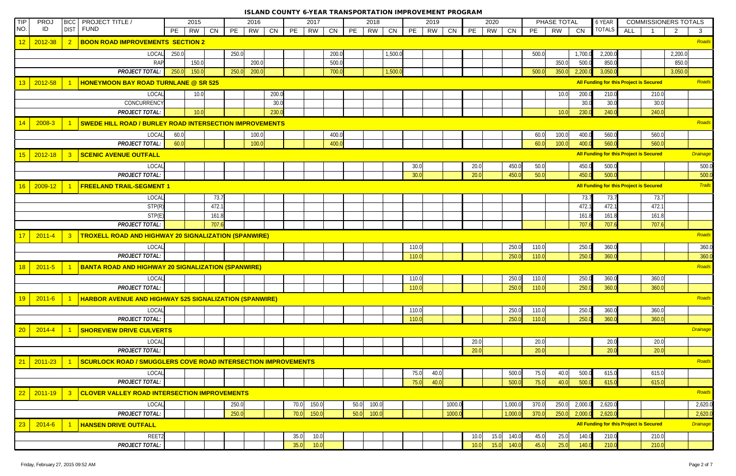| NO.<br><b>FUND</b><br><b>DIST</b><br>ID<br><b>TOTALS</b><br>PE<br>PE<br>PE<br>RW<br>PE<br>PE<br><b>RW</b><br>CN<br>PE<br>CN<br><b>ALL</b><br><b>RW</b><br>CN<br><b>CN</b><br>PE<br>RW<br>CN<br>RW<br>CN<br>RW<br>CN<br><b>RW</b><br>$\overline{2}$<br>$\mathbf{3}$<br>12<br><b>BOON ROAD IMPROVEMENTS SECTION 2</b><br>2012-38<br>$\overline{2}$<br>250.0<br>2,200.0<br>LOCAL<br>250.0<br>200.0<br>1,500.0<br>500.0<br>1,700.0<br>2,200.0<br>850.0<br><b>RAP</b><br>150.0<br>200.0<br>500.0<br>350.0<br>850.0<br>500.0<br>250.0<br>150.0<br>250.0<br>200.0<br>700.0<br>1,500.<br>350.0<br>3,050.0<br>3,050.0<br><b>PROJECT TOTAL:</b><br>500.0<br>2.200.0<br>All Funding for this Project is Secured<br>Roads<br>13<br>2012-58<br><b>HONEYMOON BAY ROAD TURNLANE @ SR 525</b><br><b>LOCAL</b><br>200.<br>10.0<br>10.0<br>200.0<br>210.0<br>210.0<br>CONCURRENCY<br>30.0<br>30.0<br>30.0<br>30 <sub>c</sub><br><b>PROJECT TOTAL:</b><br>230.<br>230.0<br>240.0<br>240.0<br>10.0<br>10.0<br>Roads<br><b>SWEDE HILL ROAD / BURLEY ROAD INTERSECTION IMPROVEMENTS</b><br>2008-3<br>LOCAL<br>60.0<br>100.0<br>400.0<br>60.0<br>100.0<br>400.0<br>560.0<br>560.0<br><b>PROJECT TOTAL:</b><br>60.0<br>100.0<br>400.0<br>100.0<br>560.0<br>60.0<br>400.0<br>560.0<br>15<br>All Funding for this Project is Secured<br><b>Drainage</b><br>2012-18<br>$\overline{3}$<br><b>SCENIC AVENUE OUTFALL</b><br>30.0<br>20.0<br>450.0<br>50.0<br>500.0<br>500.0<br>LOCAL<br>450.0<br><b>PROJECT TOTAL:</b><br>30.0<br>20.0<br>450.0<br>50.0<br>500.0<br>450.0<br>500.0<br>All Funding for this Project is Secured<br>16<br><b>Trails</b><br>2009-12<br><b>FREELAND TRAIL-SEGMENT 1</b><br>LOCAL<br>73.7<br>73.7<br>73.7<br>73.7<br>STP(R)<br>472.7<br>472.7<br>472.1<br>472.1<br>161.8<br>161.8<br>STP(E)<br>161.8<br>161.8<br><b>PROJECT TOTAL:</b><br>707.6<br>707.6<br>707.6<br>707.6<br>Roads<br>17<br><b>TROXELL ROAD AND HIGHWAY 20 SIGNALIZATION (SPANWIRE)</b><br>$2011 - 4$<br>$\overline{\mathbf{3}}$<br>LOCAL<br>250.0<br>250.0<br>110.0<br>110.0<br>360.0<br><b>PROJECT TOTAL:</b><br>250.0<br>250.0<br>360.0<br>110.0<br>110.0<br><b>BANTA ROAD AND HIGHWAY 20 SIGNALIZATION (SPANWIRE)</b><br>18<br>$2011 - 5$<br>250.0<br>250.0<br>360.0<br>LOCAL<br>110.0<br>110.0<br>360.0<br><b>PROJECT TOTAL:</b><br>110.0<br>250.0<br>250.0<br>360.0<br>360.0<br>110.0<br><b>HARBOR AVENUE AND HIGHWAY 525 SIGNALIZATION (SPANWIRE)</b><br>19<br>$2011 - 6$<br>LOCAL<br>250.0<br>250.0<br>110.0<br>110.0<br>360.0<br>360.0<br><b>PROJECT TOTAL:</b><br>250.0<br>250.0<br>360.0<br>110.0<br>110.0<br>360.0<br><b>Drainage</b><br>20<br>$2014 - 4$<br><b>SHOREVIEW DRIVE CULVERTS</b><br>20.0<br>20.0<br>20.0<br>LOCAL<br>20.0<br><b>PROJECT TOTAL:</b><br>20.0<br>20.0<br>20.0<br>20.0<br>Roads<br>$\overline{2}$ 1<br>2011-23<br><b>SCURLOCK ROAD / SMUGGLERS COVE ROAD INTERSECTION IMPROVEMENTS</b><br>75.0<br>500.0<br>LOCAL<br>40.0<br>75.0<br>40.0<br>500.0<br>615.0<br>615.0<br>40.0<br>615.0<br><b>PROJECT TOTAL:</b><br>75.0<br>500.0<br>75.0<br>40.0<br>500.0<br>615.0<br>$\overline{22}$<br>$ 2011 - 19 $<br><b>CLOVER VALLEY ROAD INTERSECTION IMPROVEMENTS</b><br>$\overline{\mathbf{3}}$<br>50.0<br>1,000.0<br>370.0<br>250.0<br>2,000.0<br>2,620.0<br>LOCAL<br>250.0<br>70.0<br>150.0<br>100.0<br>1000.0<br>250.0<br>1000.0<br>1,000.0<br>370.0<br>250.0<br>2,620.0<br><b>PROJECT TOTAL:</b><br>70.0<br>150.0<br>$ 50.0 $ 100.0<br>2,000.0<br><b>All Funding for this Project is Secured</b><br>23<br>2014-6<br><b>HANSEN DRIVE OUTFALL</b><br>REET2<br>35.0<br>10.0<br>15.0<br>140.0<br>210.0<br>210.0<br>10.0<br>45.0<br>25.0<br>140.0<br>35.0 | <b>TIP</b> | PRO. | <b>BICC</b> | <b>PROJECT TITLE /</b> | 2015 | 2016 | 2017 |  | 2018 |  | 2019 |      | 2020         |      | PHASE TOTAL |       | 6 YEAR | <b>COMMISSIONERS TOTALS</b> |          |
|--------------------------------------------------------------------------------------------------------------------------------------------------------------------------------------------------------------------------------------------------------------------------------------------------------------------------------------------------------------------------------------------------------------------------------------------------------------------------------------------------------------------------------------------------------------------------------------------------------------------------------------------------------------------------------------------------------------------------------------------------------------------------------------------------------------------------------------------------------------------------------------------------------------------------------------------------------------------------------------------------------------------------------------------------------------------------------------------------------------------------------------------------------------------------------------------------------------------------------------------------------------------------------------------------------------------------------------------------------------------------------------------------------------------------------------------------------------------------------------------------------------------------------------------------------------------------------------------------------------------------------------------------------------------------------------------------------------------------------------------------------------------------------------------------------------------------------------------------------------------------------------------------------------------------------------------------------------------------------------------------------------------------------------------------------------------------------------------------------------------------------------------------------------------------------------------------------------------------------------------------------------------------------------------------------------------------------------------------------------------------------------------------------------------------------------------------------------------------------------------------------------------------------------------------------------------------------------------------------------------------------------------------------------------------------------------------------------------------------------------------------------------------------------------------------------------------------------------------------------------------------------------------------------------------------------------------------------------------------------------------------------------------------------------------------------------------------------------------------------------------------------------------------------------------------------------------------------------------------------------------------------------------------------------------------------------------------------------------------------------------------------------------------------------------------------------------------------------------------------------------------------------------------------------------------------------------------------------------------------------------------------------------|------------|------|-------------|------------------------|------|------|------|--|------|--|------|------|--------------|------|-------------|-------|--------|-----------------------------|----------|
|                                                                                                                                                                                                                                                                                                                                                                                                                                                                                                                                                                                                                                                                                                                                                                                                                                                                                                                                                                                                                                                                                                                                                                                                                                                                                                                                                                                                                                                                                                                                                                                                                                                                                                                                                                                                                                                                                                                                                                                                                                                                                                                                                                                                                                                                                                                                                                                                                                                                                                                                                                                                                                                                                                                                                                                                                                                                                                                                                                                                                                                                                                                                                                                                                                                                                                                                                                                                                                                                                                                                                                                                                                                  |            |      |             |                        |      |      |      |  |      |  |      |      |              |      |             |       |        |                             |          |
|                                                                                                                                                                                                                                                                                                                                                                                                                                                                                                                                                                                                                                                                                                                                                                                                                                                                                                                                                                                                                                                                                                                                                                                                                                                                                                                                                                                                                                                                                                                                                                                                                                                                                                                                                                                                                                                                                                                                                                                                                                                                                                                                                                                                                                                                                                                                                                                                                                                                                                                                                                                                                                                                                                                                                                                                                                                                                                                                                                                                                                                                                                                                                                                                                                                                                                                                                                                                                                                                                                                                                                                                                                                  |            |      |             |                        |      |      |      |  |      |  |      |      |              |      |             |       |        |                             | Roads    |
|                                                                                                                                                                                                                                                                                                                                                                                                                                                                                                                                                                                                                                                                                                                                                                                                                                                                                                                                                                                                                                                                                                                                                                                                                                                                                                                                                                                                                                                                                                                                                                                                                                                                                                                                                                                                                                                                                                                                                                                                                                                                                                                                                                                                                                                                                                                                                                                                                                                                                                                                                                                                                                                                                                                                                                                                                                                                                                                                                                                                                                                                                                                                                                                                                                                                                                                                                                                                                                                                                                                                                                                                                                                  |            |      |             |                        |      |      |      |  |      |  |      |      |              |      |             |       |        |                             |          |
|                                                                                                                                                                                                                                                                                                                                                                                                                                                                                                                                                                                                                                                                                                                                                                                                                                                                                                                                                                                                                                                                                                                                                                                                                                                                                                                                                                                                                                                                                                                                                                                                                                                                                                                                                                                                                                                                                                                                                                                                                                                                                                                                                                                                                                                                                                                                                                                                                                                                                                                                                                                                                                                                                                                                                                                                                                                                                                                                                                                                                                                                                                                                                                                                                                                                                                                                                                                                                                                                                                                                                                                                                                                  |            |      |             |                        |      |      |      |  |      |  |      |      |              |      |             |       |        |                             |          |
|                                                                                                                                                                                                                                                                                                                                                                                                                                                                                                                                                                                                                                                                                                                                                                                                                                                                                                                                                                                                                                                                                                                                                                                                                                                                                                                                                                                                                                                                                                                                                                                                                                                                                                                                                                                                                                                                                                                                                                                                                                                                                                                                                                                                                                                                                                                                                                                                                                                                                                                                                                                                                                                                                                                                                                                                                                                                                                                                                                                                                                                                                                                                                                                                                                                                                                                                                                                                                                                                                                                                                                                                                                                  |            |      |             |                        |      |      |      |  |      |  |      |      |              |      |             |       |        |                             |          |
|                                                                                                                                                                                                                                                                                                                                                                                                                                                                                                                                                                                                                                                                                                                                                                                                                                                                                                                                                                                                                                                                                                                                                                                                                                                                                                                                                                                                                                                                                                                                                                                                                                                                                                                                                                                                                                                                                                                                                                                                                                                                                                                                                                                                                                                                                                                                                                                                                                                                                                                                                                                                                                                                                                                                                                                                                                                                                                                                                                                                                                                                                                                                                                                                                                                                                                                                                                                                                                                                                                                                                                                                                                                  |            |      |             |                        |      |      |      |  |      |  |      |      |              |      |             |       |        |                             |          |
|                                                                                                                                                                                                                                                                                                                                                                                                                                                                                                                                                                                                                                                                                                                                                                                                                                                                                                                                                                                                                                                                                                                                                                                                                                                                                                                                                                                                                                                                                                                                                                                                                                                                                                                                                                                                                                                                                                                                                                                                                                                                                                                                                                                                                                                                                                                                                                                                                                                                                                                                                                                                                                                                                                                                                                                                                                                                                                                                                                                                                                                                                                                                                                                                                                                                                                                                                                                                                                                                                                                                                                                                                                                  |            |      |             |                        |      |      |      |  |      |  |      |      |              |      |             |       |        |                             |          |
|                                                                                                                                                                                                                                                                                                                                                                                                                                                                                                                                                                                                                                                                                                                                                                                                                                                                                                                                                                                                                                                                                                                                                                                                                                                                                                                                                                                                                                                                                                                                                                                                                                                                                                                                                                                                                                                                                                                                                                                                                                                                                                                                                                                                                                                                                                                                                                                                                                                                                                                                                                                                                                                                                                                                                                                                                                                                                                                                                                                                                                                                                                                                                                                                                                                                                                                                                                                                                                                                                                                                                                                                                                                  |            |      |             |                        |      |      |      |  |      |  |      |      |              |      |             |       |        |                             |          |
|                                                                                                                                                                                                                                                                                                                                                                                                                                                                                                                                                                                                                                                                                                                                                                                                                                                                                                                                                                                                                                                                                                                                                                                                                                                                                                                                                                                                                                                                                                                                                                                                                                                                                                                                                                                                                                                                                                                                                                                                                                                                                                                                                                                                                                                                                                                                                                                                                                                                                                                                                                                                                                                                                                                                                                                                                                                                                                                                                                                                                                                                                                                                                                                                                                                                                                                                                                                                                                                                                                                                                                                                                                                  |            |      |             |                        |      |      |      |  |      |  |      |      |              |      |             |       |        |                             |          |
|                                                                                                                                                                                                                                                                                                                                                                                                                                                                                                                                                                                                                                                                                                                                                                                                                                                                                                                                                                                                                                                                                                                                                                                                                                                                                                                                                                                                                                                                                                                                                                                                                                                                                                                                                                                                                                                                                                                                                                                                                                                                                                                                                                                                                                                                                                                                                                                                                                                                                                                                                                                                                                                                                                                                                                                                                                                                                                                                                                                                                                                                                                                                                                                                                                                                                                                                                                                                                                                                                                                                                                                                                                                  |            |      |             |                        |      |      |      |  |      |  |      |      |              |      |             |       |        |                             |          |
|                                                                                                                                                                                                                                                                                                                                                                                                                                                                                                                                                                                                                                                                                                                                                                                                                                                                                                                                                                                                                                                                                                                                                                                                                                                                                                                                                                                                                                                                                                                                                                                                                                                                                                                                                                                                                                                                                                                                                                                                                                                                                                                                                                                                                                                                                                                                                                                                                                                                                                                                                                                                                                                                                                                                                                                                                                                                                                                                                                                                                                                                                                                                                                                                                                                                                                                                                                                                                                                                                                                                                                                                                                                  |            |      |             |                        |      |      |      |  |      |  |      |      |              |      |             |       |        |                             |          |
|                                                                                                                                                                                                                                                                                                                                                                                                                                                                                                                                                                                                                                                                                                                                                                                                                                                                                                                                                                                                                                                                                                                                                                                                                                                                                                                                                                                                                                                                                                                                                                                                                                                                                                                                                                                                                                                                                                                                                                                                                                                                                                                                                                                                                                                                                                                                                                                                                                                                                                                                                                                                                                                                                                                                                                                                                                                                                                                                                                                                                                                                                                                                                                                                                                                                                                                                                                                                                                                                                                                                                                                                                                                  |            |      |             |                        |      |      |      |  |      |  |      |      |              |      |             |       |        |                             |          |
|                                                                                                                                                                                                                                                                                                                                                                                                                                                                                                                                                                                                                                                                                                                                                                                                                                                                                                                                                                                                                                                                                                                                                                                                                                                                                                                                                                                                                                                                                                                                                                                                                                                                                                                                                                                                                                                                                                                                                                                                                                                                                                                                                                                                                                                                                                                                                                                                                                                                                                                                                                                                                                                                                                                                                                                                                                                                                                                                                                                                                                                                                                                                                                                                                                                                                                                                                                                                                                                                                                                                                                                                                                                  |            |      |             |                        |      |      |      |  |      |  |      |      |              |      |             |       |        |                             |          |
|                                                                                                                                                                                                                                                                                                                                                                                                                                                                                                                                                                                                                                                                                                                                                                                                                                                                                                                                                                                                                                                                                                                                                                                                                                                                                                                                                                                                                                                                                                                                                                                                                                                                                                                                                                                                                                                                                                                                                                                                                                                                                                                                                                                                                                                                                                                                                                                                                                                                                                                                                                                                                                                                                                                                                                                                                                                                                                                                                                                                                                                                                                                                                                                                                                                                                                                                                                                                                                                                                                                                                                                                                                                  |            |      |             |                        |      |      |      |  |      |  |      |      |              |      |             |       |        |                             |          |
|                                                                                                                                                                                                                                                                                                                                                                                                                                                                                                                                                                                                                                                                                                                                                                                                                                                                                                                                                                                                                                                                                                                                                                                                                                                                                                                                                                                                                                                                                                                                                                                                                                                                                                                                                                                                                                                                                                                                                                                                                                                                                                                                                                                                                                                                                                                                                                                                                                                                                                                                                                                                                                                                                                                                                                                                                                                                                                                                                                                                                                                                                                                                                                                                                                                                                                                                                                                                                                                                                                                                                                                                                                                  |            |      |             |                        |      |      |      |  |      |  |      |      |              |      |             |       |        |                             |          |
|                                                                                                                                                                                                                                                                                                                                                                                                                                                                                                                                                                                                                                                                                                                                                                                                                                                                                                                                                                                                                                                                                                                                                                                                                                                                                                                                                                                                                                                                                                                                                                                                                                                                                                                                                                                                                                                                                                                                                                                                                                                                                                                                                                                                                                                                                                                                                                                                                                                                                                                                                                                                                                                                                                                                                                                                                                                                                                                                                                                                                                                                                                                                                                                                                                                                                                                                                                                                                                                                                                                                                                                                                                                  |            |      |             |                        |      |      |      |  |      |  |      |      |              |      |             |       |        |                             |          |
|                                                                                                                                                                                                                                                                                                                                                                                                                                                                                                                                                                                                                                                                                                                                                                                                                                                                                                                                                                                                                                                                                                                                                                                                                                                                                                                                                                                                                                                                                                                                                                                                                                                                                                                                                                                                                                                                                                                                                                                                                                                                                                                                                                                                                                                                                                                                                                                                                                                                                                                                                                                                                                                                                                                                                                                                                                                                                                                                                                                                                                                                                                                                                                                                                                                                                                                                                                                                                                                                                                                                                                                                                                                  |            |      |             |                        |      |      |      |  |      |  |      |      |              |      |             |       |        |                             |          |
|                                                                                                                                                                                                                                                                                                                                                                                                                                                                                                                                                                                                                                                                                                                                                                                                                                                                                                                                                                                                                                                                                                                                                                                                                                                                                                                                                                                                                                                                                                                                                                                                                                                                                                                                                                                                                                                                                                                                                                                                                                                                                                                                                                                                                                                                                                                                                                                                                                                                                                                                                                                                                                                                                                                                                                                                                                                                                                                                                                                                                                                                                                                                                                                                                                                                                                                                                                                                                                                                                                                                                                                                                                                  |            |      |             |                        |      |      |      |  |      |  |      |      |              |      |             |       |        |                             |          |
|                                                                                                                                                                                                                                                                                                                                                                                                                                                                                                                                                                                                                                                                                                                                                                                                                                                                                                                                                                                                                                                                                                                                                                                                                                                                                                                                                                                                                                                                                                                                                                                                                                                                                                                                                                                                                                                                                                                                                                                                                                                                                                                                                                                                                                                                                                                                                                                                                                                                                                                                                                                                                                                                                                                                                                                                                                                                                                                                                                                                                                                                                                                                                                                                                                                                                                                                                                                                                                                                                                                                                                                                                                                  |            |      |             |                        |      |      |      |  |      |  |      |      |              |      |             |       |        |                             |          |
|                                                                                                                                                                                                                                                                                                                                                                                                                                                                                                                                                                                                                                                                                                                                                                                                                                                                                                                                                                                                                                                                                                                                                                                                                                                                                                                                                                                                                                                                                                                                                                                                                                                                                                                                                                                                                                                                                                                                                                                                                                                                                                                                                                                                                                                                                                                                                                                                                                                                                                                                                                                                                                                                                                                                                                                                                                                                                                                                                                                                                                                                                                                                                                                                                                                                                                                                                                                                                                                                                                                                                                                                                                                  |            |      |             |                        |      |      |      |  |      |  |      |      |              |      |             |       |        |                             |          |
|                                                                                                                                                                                                                                                                                                                                                                                                                                                                                                                                                                                                                                                                                                                                                                                                                                                                                                                                                                                                                                                                                                                                                                                                                                                                                                                                                                                                                                                                                                                                                                                                                                                                                                                                                                                                                                                                                                                                                                                                                                                                                                                                                                                                                                                                                                                                                                                                                                                                                                                                                                                                                                                                                                                                                                                                                                                                                                                                                                                                                                                                                                                                                                                                                                                                                                                                                                                                                                                                                                                                                                                                                                                  |            |      |             |                        |      |      |      |  |      |  |      |      |              |      |             |       |        |                             |          |
|                                                                                                                                                                                                                                                                                                                                                                                                                                                                                                                                                                                                                                                                                                                                                                                                                                                                                                                                                                                                                                                                                                                                                                                                                                                                                                                                                                                                                                                                                                                                                                                                                                                                                                                                                                                                                                                                                                                                                                                                                                                                                                                                                                                                                                                                                                                                                                                                                                                                                                                                                                                                                                                                                                                                                                                                                                                                                                                                                                                                                                                                                                                                                                                                                                                                                                                                                                                                                                                                                                                                                                                                                                                  |            |      |             |                        |      |      |      |  |      |  |      |      |              |      |             |       |        |                             |          |
|                                                                                                                                                                                                                                                                                                                                                                                                                                                                                                                                                                                                                                                                                                                                                                                                                                                                                                                                                                                                                                                                                                                                                                                                                                                                                                                                                                                                                                                                                                                                                                                                                                                                                                                                                                                                                                                                                                                                                                                                                                                                                                                                                                                                                                                                                                                                                                                                                                                                                                                                                                                                                                                                                                                                                                                                                                                                                                                                                                                                                                                                                                                                                                                                                                                                                                                                                                                                                                                                                                                                                                                                                                                  |            |      |             |                        |      |      |      |  |      |  |      |      |              |      |             |       |        |                             |          |
|                                                                                                                                                                                                                                                                                                                                                                                                                                                                                                                                                                                                                                                                                                                                                                                                                                                                                                                                                                                                                                                                                                                                                                                                                                                                                                                                                                                                                                                                                                                                                                                                                                                                                                                                                                                                                                                                                                                                                                                                                                                                                                                                                                                                                                                                                                                                                                                                                                                                                                                                                                                                                                                                                                                                                                                                                                                                                                                                                                                                                                                                                                                                                                                                                                                                                                                                                                                                                                                                                                                                                                                                                                                  |            |      |             |                        |      |      |      |  |      |  |      |      |              |      |             |       |        |                             | 360.0    |
|                                                                                                                                                                                                                                                                                                                                                                                                                                                                                                                                                                                                                                                                                                                                                                                                                                                                                                                                                                                                                                                                                                                                                                                                                                                                                                                                                                                                                                                                                                                                                                                                                                                                                                                                                                                                                                                                                                                                                                                                                                                                                                                                                                                                                                                                                                                                                                                                                                                                                                                                                                                                                                                                                                                                                                                                                                                                                                                                                                                                                                                                                                                                                                                                                                                                                                                                                                                                                                                                                                                                                                                                                                                  |            |      |             |                        |      |      |      |  |      |  |      |      |              |      |             |       |        |                             | 360.0    |
|                                                                                                                                                                                                                                                                                                                                                                                                                                                                                                                                                                                                                                                                                                                                                                                                                                                                                                                                                                                                                                                                                                                                                                                                                                                                                                                                                                                                                                                                                                                                                                                                                                                                                                                                                                                                                                                                                                                                                                                                                                                                                                                                                                                                                                                                                                                                                                                                                                                                                                                                                                                                                                                                                                                                                                                                                                                                                                                                                                                                                                                                                                                                                                                                                                                                                                                                                                                                                                                                                                                                                                                                                                                  |            |      |             |                        |      |      |      |  |      |  |      |      |              |      |             |       |        |                             | Roads    |
|                                                                                                                                                                                                                                                                                                                                                                                                                                                                                                                                                                                                                                                                                                                                                                                                                                                                                                                                                                                                                                                                                                                                                                                                                                                                                                                                                                                                                                                                                                                                                                                                                                                                                                                                                                                                                                                                                                                                                                                                                                                                                                                                                                                                                                                                                                                                                                                                                                                                                                                                                                                                                                                                                                                                                                                                                                                                                                                                                                                                                                                                                                                                                                                                                                                                                                                                                                                                                                                                                                                                                                                                                                                  |            |      |             |                        |      |      |      |  |      |  |      |      |              |      |             |       |        |                             |          |
|                                                                                                                                                                                                                                                                                                                                                                                                                                                                                                                                                                                                                                                                                                                                                                                                                                                                                                                                                                                                                                                                                                                                                                                                                                                                                                                                                                                                                                                                                                                                                                                                                                                                                                                                                                                                                                                                                                                                                                                                                                                                                                                                                                                                                                                                                                                                                                                                                                                                                                                                                                                                                                                                                                                                                                                                                                                                                                                                                                                                                                                                                                                                                                                                                                                                                                                                                                                                                                                                                                                                                                                                                                                  |            |      |             |                        |      |      |      |  |      |  |      |      |              |      |             |       |        |                             |          |
|                                                                                                                                                                                                                                                                                                                                                                                                                                                                                                                                                                                                                                                                                                                                                                                                                                                                                                                                                                                                                                                                                                                                                                                                                                                                                                                                                                                                                                                                                                                                                                                                                                                                                                                                                                                                                                                                                                                                                                                                                                                                                                                                                                                                                                                                                                                                                                                                                                                                                                                                                                                                                                                                                                                                                                                                                                                                                                                                                                                                                                                                                                                                                                                                                                                                                                                                                                                                                                                                                                                                                                                                                                                  |            |      |             |                        |      |      |      |  |      |  |      |      |              |      |             |       |        |                             | Roads    |
|                                                                                                                                                                                                                                                                                                                                                                                                                                                                                                                                                                                                                                                                                                                                                                                                                                                                                                                                                                                                                                                                                                                                                                                                                                                                                                                                                                                                                                                                                                                                                                                                                                                                                                                                                                                                                                                                                                                                                                                                                                                                                                                                                                                                                                                                                                                                                                                                                                                                                                                                                                                                                                                                                                                                                                                                                                                                                                                                                                                                                                                                                                                                                                                                                                                                                                                                                                                                                                                                                                                                                                                                                                                  |            |      |             |                        |      |      |      |  |      |  |      |      |              |      |             |       |        |                             |          |
|                                                                                                                                                                                                                                                                                                                                                                                                                                                                                                                                                                                                                                                                                                                                                                                                                                                                                                                                                                                                                                                                                                                                                                                                                                                                                                                                                                                                                                                                                                                                                                                                                                                                                                                                                                                                                                                                                                                                                                                                                                                                                                                                                                                                                                                                                                                                                                                                                                                                                                                                                                                                                                                                                                                                                                                                                                                                                                                                                                                                                                                                                                                                                                                                                                                                                                                                                                                                                                                                                                                                                                                                                                                  |            |      |             |                        |      |      |      |  |      |  |      |      |              |      |             |       |        |                             |          |
|                                                                                                                                                                                                                                                                                                                                                                                                                                                                                                                                                                                                                                                                                                                                                                                                                                                                                                                                                                                                                                                                                                                                                                                                                                                                                                                                                                                                                                                                                                                                                                                                                                                                                                                                                                                                                                                                                                                                                                                                                                                                                                                                                                                                                                                                                                                                                                                                                                                                                                                                                                                                                                                                                                                                                                                                                                                                                                                                                                                                                                                                                                                                                                                                                                                                                                                                                                                                                                                                                                                                                                                                                                                  |            |      |             |                        |      |      |      |  |      |  |      |      |              |      |             |       |        |                             |          |
|                                                                                                                                                                                                                                                                                                                                                                                                                                                                                                                                                                                                                                                                                                                                                                                                                                                                                                                                                                                                                                                                                                                                                                                                                                                                                                                                                                                                                                                                                                                                                                                                                                                                                                                                                                                                                                                                                                                                                                                                                                                                                                                                                                                                                                                                                                                                                                                                                                                                                                                                                                                                                                                                                                                                                                                                                                                                                                                                                                                                                                                                                                                                                                                                                                                                                                                                                                                                                                                                                                                                                                                                                                                  |            |      |             |                        |      |      |      |  |      |  |      |      |              |      |             |       |        |                             |          |
|                                                                                                                                                                                                                                                                                                                                                                                                                                                                                                                                                                                                                                                                                                                                                                                                                                                                                                                                                                                                                                                                                                                                                                                                                                                                                                                                                                                                                                                                                                                                                                                                                                                                                                                                                                                                                                                                                                                                                                                                                                                                                                                                                                                                                                                                                                                                                                                                                                                                                                                                                                                                                                                                                                                                                                                                                                                                                                                                                                                                                                                                                                                                                                                                                                                                                                                                                                                                                                                                                                                                                                                                                                                  |            |      |             |                        |      |      |      |  |      |  |      |      |              |      |             |       |        |                             |          |
|                                                                                                                                                                                                                                                                                                                                                                                                                                                                                                                                                                                                                                                                                                                                                                                                                                                                                                                                                                                                                                                                                                                                                                                                                                                                                                                                                                                                                                                                                                                                                                                                                                                                                                                                                                                                                                                                                                                                                                                                                                                                                                                                                                                                                                                                                                                                                                                                                                                                                                                                                                                                                                                                                                                                                                                                                                                                                                                                                                                                                                                                                                                                                                                                                                                                                                                                                                                                                                                                                                                                                                                                                                                  |            |      |             |                        |      |      |      |  |      |  |      |      |              |      |             |       |        |                             |          |
|                                                                                                                                                                                                                                                                                                                                                                                                                                                                                                                                                                                                                                                                                                                                                                                                                                                                                                                                                                                                                                                                                                                                                                                                                                                                                                                                                                                                                                                                                                                                                                                                                                                                                                                                                                                                                                                                                                                                                                                                                                                                                                                                                                                                                                                                                                                                                                                                                                                                                                                                                                                                                                                                                                                                                                                                                                                                                                                                                                                                                                                                                                                                                                                                                                                                                                                                                                                                                                                                                                                                                                                                                                                  |            |      |             |                        |      |      |      |  |      |  |      |      |              |      |             |       |        |                             |          |
|                                                                                                                                                                                                                                                                                                                                                                                                                                                                                                                                                                                                                                                                                                                                                                                                                                                                                                                                                                                                                                                                                                                                                                                                                                                                                                                                                                                                                                                                                                                                                                                                                                                                                                                                                                                                                                                                                                                                                                                                                                                                                                                                                                                                                                                                                                                                                                                                                                                                                                                                                                                                                                                                                                                                                                                                                                                                                                                                                                                                                                                                                                                                                                                                                                                                                                                                                                                                                                                                                                                                                                                                                                                  |            |      |             |                        |      |      |      |  |      |  |      |      |              |      |             |       |        |                             |          |
|                                                                                                                                                                                                                                                                                                                                                                                                                                                                                                                                                                                                                                                                                                                                                                                                                                                                                                                                                                                                                                                                                                                                                                                                                                                                                                                                                                                                                                                                                                                                                                                                                                                                                                                                                                                                                                                                                                                                                                                                                                                                                                                                                                                                                                                                                                                                                                                                                                                                                                                                                                                                                                                                                                                                                                                                                                                                                                                                                                                                                                                                                                                                                                                                                                                                                                                                                                                                                                                                                                                                                                                                                                                  |            |      |             |                        |      |      |      |  |      |  |      |      |              |      |             |       |        |                             |          |
|                                                                                                                                                                                                                                                                                                                                                                                                                                                                                                                                                                                                                                                                                                                                                                                                                                                                                                                                                                                                                                                                                                                                                                                                                                                                                                                                                                                                                                                                                                                                                                                                                                                                                                                                                                                                                                                                                                                                                                                                                                                                                                                                                                                                                                                                                                                                                                                                                                                                                                                                                                                                                                                                                                                                                                                                                                                                                                                                                                                                                                                                                                                                                                                                                                                                                                                                                                                                                                                                                                                                                                                                                                                  |            |      |             |                        |      |      |      |  |      |  |      |      |              |      |             |       |        |                             | Roads    |
|                                                                                                                                                                                                                                                                                                                                                                                                                                                                                                                                                                                                                                                                                                                                                                                                                                                                                                                                                                                                                                                                                                                                                                                                                                                                                                                                                                                                                                                                                                                                                                                                                                                                                                                                                                                                                                                                                                                                                                                                                                                                                                                                                                                                                                                                                                                                                                                                                                                                                                                                                                                                                                                                                                                                                                                                                                                                                                                                                                                                                                                                                                                                                                                                                                                                                                                                                                                                                                                                                                                                                                                                                                                  |            |      |             |                        |      |      |      |  |      |  |      |      |              |      |             |       |        |                             | 2,620.0  |
|                                                                                                                                                                                                                                                                                                                                                                                                                                                                                                                                                                                                                                                                                                                                                                                                                                                                                                                                                                                                                                                                                                                                                                                                                                                                                                                                                                                                                                                                                                                                                                                                                                                                                                                                                                                                                                                                                                                                                                                                                                                                                                                                                                                                                                                                                                                                                                                                                                                                                                                                                                                                                                                                                                                                                                                                                                                                                                                                                                                                                                                                                                                                                                                                                                                                                                                                                                                                                                                                                                                                                                                                                                                  |            |      |             |                        |      |      |      |  |      |  |      |      |              |      |             |       |        |                             | 2,620.0  |
|                                                                                                                                                                                                                                                                                                                                                                                                                                                                                                                                                                                                                                                                                                                                                                                                                                                                                                                                                                                                                                                                                                                                                                                                                                                                                                                                                                                                                                                                                                                                                                                                                                                                                                                                                                                                                                                                                                                                                                                                                                                                                                                                                                                                                                                                                                                                                                                                                                                                                                                                                                                                                                                                                                                                                                                                                                                                                                                                                                                                                                                                                                                                                                                                                                                                                                                                                                                                                                                                                                                                                                                                                                                  |            |      |             |                        |      |      |      |  |      |  |      |      |              |      |             |       |        |                             | Drainage |
|                                                                                                                                                                                                                                                                                                                                                                                                                                                                                                                                                                                                                                                                                                                                                                                                                                                                                                                                                                                                                                                                                                                                                                                                                                                                                                                                                                                                                                                                                                                                                                                                                                                                                                                                                                                                                                                                                                                                                                                                                                                                                                                                                                                                                                                                                                                                                                                                                                                                                                                                                                                                                                                                                                                                                                                                                                                                                                                                                                                                                                                                                                                                                                                                                                                                                                                                                                                                                                                                                                                                                                                                                                                  |            |      |             |                        |      |      |      |  |      |  |      |      |              |      |             |       |        |                             |          |
|                                                                                                                                                                                                                                                                                                                                                                                                                                                                                                                                                                                                                                                                                                                                                                                                                                                                                                                                                                                                                                                                                                                                                                                                                                                                                                                                                                                                                                                                                                                                                                                                                                                                                                                                                                                                                                                                                                                                                                                                                                                                                                                                                                                                                                                                                                                                                                                                                                                                                                                                                                                                                                                                                                                                                                                                                                                                                                                                                                                                                                                                                                                                                                                                                                                                                                                                                                                                                                                                                                                                                                                                                                                  |            |      |             | <b>PROJECT TOTAL:</b>  |      |      | 10.0 |  |      |  |      | 10.0 | $15.0$ 140.0 | 45.0 | 25.0        | 140.0 | 210.0  | 210.0                       |          |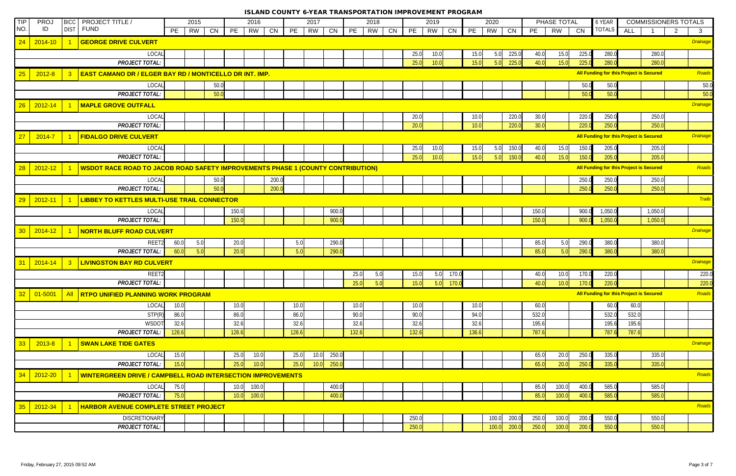| TIP             | PRO.        | <b>BICC</b>             | <b>PROJECT TITLE /</b>                                                                 |       | 2015            |       | 2016          |       |       | 2017     |       |       | 2018     |       | 2019 |       |       | 2020      |       |       | PHASE TOTAL |       | 6 YEAR        | <b>COMMISSIONERS TOTALS</b>                    |                |                 |
|-----------------|-------------|-------------------------|----------------------------------------------------------------------------------------|-------|-----------------|-------|---------------|-------|-------|----------|-------|-------|----------|-------|------|-------|-------|-----------|-------|-------|-------------|-------|---------------|------------------------------------------------|----------------|-----------------|
| NO.             | ID          | <b>DIST</b>             | <b>FUND</b>                                                                            | PE    | <b>RW</b><br>CN | PE    | RW            | CN    | PE    | CN<br>RW |       | PE    | RW<br>CN | PE    | RW   | CN    | PE    | <b>RW</b> | CN    | PE    | <b>RW</b>   | CN    | <b>TOTALS</b> | ALL                                            | $\overline{2}$ | $\mathbf{3}$    |
| 24              | $2014 - 10$ |                         | <b>GEORGE DRIVE CULVERT</b>                                                            |       |                 |       |               |       |       |          |       |       |          |       |      |       |       |           |       |       |             |       |               |                                                |                | Drainage        |
|                 |             |                         | LOCAL                                                                                  |       |                 |       |               |       |       |          |       |       |          | 25.0  | 10.0 |       | 15.0  | 5.0       | 225.0 | 40.0  | 15.0        | 225.0 | 280.0         | 280.0                                          |                |                 |
|                 |             |                         | <b>PROJECT TOTAL:</b>                                                                  |       |                 |       |               |       |       |          |       |       |          | 25.0  | 10.0 |       | 15.0  | 5.0       | 225.0 | 40.0  | 15.0        | 225.0 | 280.0         | 280.0                                          |                |                 |
| 25              | $2012 - 8$  |                         | <b>EAST CAMANO DR / ELGER BAY RD / MONTICELLO DR INT. IMP.</b>                         |       |                 |       |               |       |       |          |       |       |          |       |      |       |       |           |       |       |             |       |               | All Funding for this Project is Secured        |                | Roads           |
|                 |             |                         | LOCAL                                                                                  |       | 50.0            |       |               |       |       |          |       |       |          |       |      |       |       |           |       |       |             | 50.0  | 50.0          |                                                |                | 50.0            |
|                 |             |                         | <b>PROJECT TOTAL:</b>                                                                  |       | 50.0            |       |               |       |       |          |       |       |          |       |      |       |       |           |       |       |             | 50.0  | 50.0          |                                                |                | 50.0            |
| 26              | $2012 - 14$ |                         | <b>MAPLE GROVE OUTFALL</b>                                                             |       |                 |       |               |       |       |          |       |       |          |       |      |       |       |           |       |       |             |       |               |                                                |                | Drainage        |
|                 |             |                         | LOCAL                                                                                  |       |                 |       |               |       |       |          |       |       |          | 20.0  |      |       | 10.0  |           | 220.0 | 30.0  |             | 220.0 | 250.0         | 250.0                                          |                |                 |
|                 |             |                         | <b>PROJECT TOTAL:</b>                                                                  |       |                 |       |               |       |       |          |       |       |          | 20.0  |      |       | 10.0  |           | 220.0 | 30.0  |             | 220.0 | 250.0         | 250.0                                          |                |                 |
| 27              | 2014-7      |                         | <b>FIDALGO DRIVE CULVERT</b>                                                           |       |                 |       |               |       |       |          |       |       |          |       |      |       |       |           |       |       |             |       |               | <b>All Funding for this Project is Secured</b> |                | <b>Drainage</b> |
|                 |             |                         | LOCAL                                                                                  |       |                 |       |               |       |       |          |       |       |          | 25.0  | 10.0 |       | 15.0  | 5.0       | 150.0 | 40.0  | 15.0        | 150.0 | 205.0         | 205.0                                          |                |                 |
|                 |             |                         | <b>PROJECT TOTAL:</b>                                                                  |       |                 |       |               |       |       |          |       |       |          | 25.0  | 10.0 |       | 15.0  | 5.0       | 150.0 | 40.0  | 15.0        | 150.0 | 205.0         | 205.0                                          |                |                 |
| 28              | $2012 - 12$ |                         | <b>WSDOT RACE ROAD TO JACOB ROAD SAFETY IMPROVEMENTS PHASE 1 (COUNTY CONTRIBUTION)</b> |       |                 |       |               |       |       |          |       |       |          |       |      |       |       |           |       |       |             |       |               | All Funding for this Project is Secured        |                | Roads           |
|                 |             |                         | LOCAL                                                                                  |       | 50.0            |       |               | 200.0 |       |          |       |       |          |       |      |       |       |           |       |       |             | 250.0 | 250.0         | 250.0                                          |                |                 |
|                 |             |                         | <b>PROJECT TOTAL:</b>                                                                  |       | 50.0            |       |               | 200.0 |       |          |       |       |          |       |      |       |       |           |       |       |             | 250.0 | 250.0         | 250.0                                          |                |                 |
| 29              | $2012 - 11$ |                         | <b>LIBBEY TO KETTLES MULTI-USE TRAIL CONNECTOR</b>                                     |       |                 |       |               |       |       |          |       |       |          |       |      |       |       |           |       |       |             |       |               |                                                |                | Trails          |
|                 |             |                         | LOCAL                                                                                  |       |                 | 150.0 |               |       |       |          | 900.0 |       |          |       |      |       |       |           |       | 150.0 |             | 900.0 | 1,050.0       | 1,050.0                                        |                |                 |
|                 |             |                         | <b>PROJECT TOTAL:</b>                                                                  |       |                 | 150.0 |               |       |       |          | 900.0 |       |          |       |      |       |       |           |       | 150.0 |             | 900.0 | 1,050.0       | 1,050.0                                        |                |                 |
| 30 <sup>°</sup> | $2014 - 12$ |                         | <b>NORTH BLUFF ROAD CULVERT</b>                                                        |       |                 |       |               |       |       |          |       |       |          |       |      |       |       |           |       |       |             |       |               |                                                |                | <b>Drainage</b> |
|                 |             |                         | REET2                                                                                  | 60.0  | 5.0             | 20.0  |               |       | 5.0   |          | 290.0 |       |          |       |      |       |       |           |       | 85.0  | 5.0         | 290.0 | 380.0         | 380.0                                          |                |                 |
|                 |             |                         | <b>PROJECT TOTAL:</b>                                                                  | 60.0  | 5.0             | 20.0  |               |       | 5.0   |          | 290.0 |       |          |       |      |       |       |           |       | 85.0  | 5.0         | 290.0 | 380.0         | 380.0                                          |                |                 |
| 31              | $2014 - 14$ | $\overline{\mathbf{3}}$ | <b>LIVINGSTON BAY RD CULVERT</b>                                                       |       |                 |       |               |       |       |          |       |       |          |       |      |       |       |           |       |       |             |       |               |                                                |                | Drainage        |
|                 |             |                         | REET2                                                                                  |       |                 |       |               |       |       |          |       | 25.0  | 5.0      | 15.0  | 5.0  | 170.0 |       |           |       | 40.0  | 10.0        | 170.0 | 220.0         |                                                |                | 220.0           |
|                 |             |                         | <b>PROJECT TOTAL:</b>                                                                  |       |                 |       |               |       |       |          |       | 25.0  | 5.0      | 15.0  | 5.0  | 170.0 |       |           |       | 40.0  | 10.0        | 170.0 | 220.0         |                                                |                | 220.0           |
| 32              | $01 - 5001$ |                         | AII RTPO UNIFIED PLANNING WORK PROGRAM                                                 |       |                 |       |               |       |       |          |       |       |          |       |      |       |       |           |       |       |             |       |               | All Funding for this Project is Secured        |                | Roads           |
|                 |             |                         | LOCAL                                                                                  | 10.0  |                 | 10.0  |               |       | 10.0  |          |       | 10.0  |          | 10.0  |      |       | 10.0  |           |       | 60.0  |             |       | 60.0          | 60.0                                           |                |                 |
|                 |             |                         | STP(R)                                                                                 | 86.0  |                 | 86.0  |               |       | 86.0  |          |       | 90.0  |          | 90.0  |      |       | 94.0  |           |       | 532.0 |             |       | 532.0         | 532.0                                          |                |                 |
|                 |             |                         | <b>WSDOT</b>                                                                           | 32.6  |                 | 32.6  |               |       | 32.6  |          |       | 32.6  |          | 32.6  |      |       | 32.6  |           |       | 195.6 |             |       | 195.6         | 195.6                                          |                |                 |
|                 |             |                         | <b>PROJECT TOTAL:</b>                                                                  | 128.6 |                 | 128.6 |               |       | 128.6 |          |       | 132.6 |          | 132.6 |      |       | 136.6 |           |       | 787.6 |             |       | 787.6         | 787.6                                          |                |                 |
| 33              | 2013-8      |                         | <b>SWAN LAKE TIDE GATES</b>                                                            |       |                 |       |               |       |       |          |       |       |          |       |      |       |       |           |       |       |             |       |               |                                                |                | <b>Drainage</b> |
|                 |             |                         | LOCAL                                                                                  | 15.0  |                 | 25.0  | 10.0          |       | 25.0  | 10.0     | 250.0 |       |          |       |      |       |       |           |       | 65.0  | 20.0        | 250.0 | 335.0         | 335.0                                          |                |                 |
|                 |             |                         | <b>PROJECT TOTAL:</b>                                                                  | 15.0  |                 | 25.0  | 10.0          |       | 25.0  | 10.0     | 250.0 |       |          |       |      |       |       |           |       | 65.0  | 20.0        | 250.0 | 335.0         | 335.0                                          |                |                 |
| 34              | 2012-20     |                         | <b>WINTERGREEN DRIVE / CAMPBELL ROAD INTERSECTION IMPROVEMENTS</b>                     |       |                 |       |               |       |       |          |       |       |          |       |      |       |       |           |       |       |             |       |               |                                                |                | Roads           |
|                 |             |                         | LOCAL                                                                                  | 75.0  |                 | 10.0  | 100.0         |       |       |          | 400.0 |       |          |       |      |       |       |           |       | 85.0  | 100.0       | 400.0 | 585.0         | 585.0                                          |                |                 |
|                 |             |                         | <b>PROJECT TOTAL:</b>                                                                  | 75.0  |                 |       | 100.0<br>10.0 |       |       |          | 400.0 |       |          |       |      |       |       |           |       | 85.0  | 100.0       | 400.0 | 585.0         | 585.0                                          |                |                 |
| 35 <sup>°</sup> | 2012-34     |                         | <b>HARBOR AVENUE COMPLETE STREET PROJECT</b>                                           |       |                 |       |               |       |       |          |       |       |          |       |      |       |       |           |       |       |             |       |               |                                                |                | Roads           |
|                 |             |                         | <b>DISCRETIONARY</b>                                                                   |       |                 |       |               |       |       |          |       |       |          | 250.0 |      |       |       | 100.0     | 200.0 | 250.0 | 100.0       | 200.0 | 550.0         | 550.0                                          |                |                 |
|                 |             |                         | <b>PROJECT TOTAL:</b>                                                                  |       |                 |       |               |       |       |          |       |       |          | 250.0 |      |       |       | 100.0     | 200.0 | 250.0 | 100.0       | 200.0 | 550.0         | 550.0                                          |                |                 |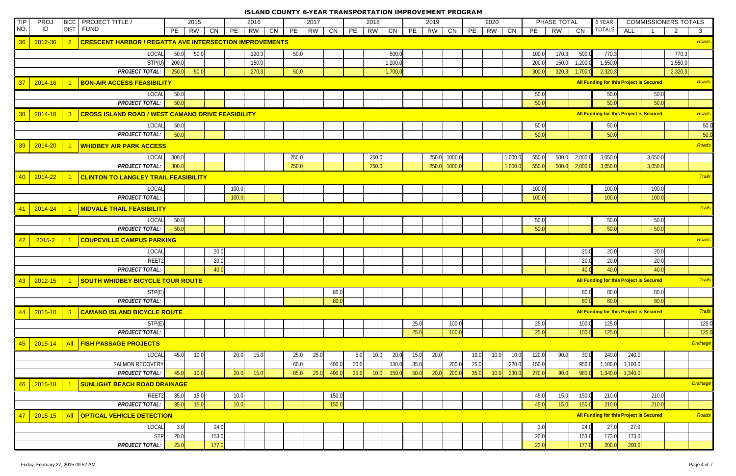| <b>TIP</b> | PRO.        | <b>BICC</b>             | <b>PROJECT TITLE /</b>                                         | 2015          |       | 2016            |    |       | 2017 |       |      | 2018  |         |      | 2019         |              |      | 2020      |         |       | PHASE TOTAL |         | 6 YEAR                                         |         | <b>COMMISSIONERS TOTALS</b> |                 |
|------------|-------------|-------------------------|----------------------------------------------------------------|---------------|-------|-----------------|----|-------|------|-------|------|-------|---------|------|--------------|--------------|------|-----------|---------|-------|-------------|---------|------------------------------------------------|---------|-----------------------------|-----------------|
| NO.        | ID          |                         | DIST FUND                                                      | PE<br>RW      | CN    | <b>RW</b><br>PE | CN | PE    | RW   | CN    | PE   | RW    | CN      | PE   | RW           | CN           | PE   | <b>RW</b> | CN      | PE    | <b>RW</b>   | CN      | <b>TOTALS</b>                                  | ALL     | $\overline{2}$              | $\mathbf{3}$    |
| 36         | $2012 - 36$ | $\overline{2}$          | <b>CRESCENT HARBOR / REGATTA AVE INTERSECTION IMPROVEMENTS</b> |               |       |                 |    |       |      |       |      |       |         |      |              |              |      |           |         |       |             |         |                                                |         |                             | Roads           |
|            |             |                         | <b>LOCAL</b>                                                   | 50.0<br>50.0  |       | 120.3           |    | 50.0  |      |       |      |       | 500.0   |      |              |              |      |           |         | 100.0 | 170.3       | 500.0   | 770.3                                          |         |                             | 770.3           |
|            |             |                         | STP(U)                                                         | 200.0         |       | 150.0           |    |       |      |       |      |       | 1,200.0 |      |              |              |      |           |         | 200.0 | 150.0       | 1,200.0 | 1,550.0                                        |         |                             | 1,550.0         |
|            |             |                         | <b>PROJECT TOTAL:</b>                                          | 50.0<br>250.0 |       | 270.3           |    | 50.0  |      |       |      |       | 1,700.0 |      |              |              |      |           |         | 300.0 | 320.3       | 1,700.  | 2,320.3                                        |         |                             | 2,320.3         |
| 37         | $2014 - 16$ |                         | <b>BON-AIR ACCESS FEASIBILITY</b>                              |               |       |                 |    |       |      |       |      |       |         |      |              |              |      |           |         |       |             |         | All Funding for this Project is Secured        |         |                             | Roads           |
|            |             |                         | LOCAL                                                          | 50.0          |       |                 |    |       |      |       |      |       |         |      |              |              |      |           |         | 50.0  |             |         | 50.0                                           |         | 50.0                        |                 |
|            |             |                         | <b>PROJECT TOTAL:</b>                                          | 50.0          |       |                 |    |       |      |       |      |       |         |      |              |              |      |           |         | 50.0  |             |         | 50.0                                           |         | 50.0                        |                 |
| 38         | $2014 - 18$ | $\overline{\mathbf{3}}$ | <b>CROSS ISLAND ROAD / WEST CAMANO DRIVE FEASIBILITY</b>       |               |       |                 |    |       |      |       |      |       |         |      |              |              |      |           |         |       |             |         | <b>All Funding for this Project is Secured</b> |         |                             | Roads           |
|            |             |                         | LOCAL                                                          | 50.0          |       |                 |    |       |      |       |      |       |         |      |              |              |      |           |         | 50.0  |             |         | 50.0                                           |         |                             | 50.0            |
|            |             |                         | <b>PROJECT TOTAL:</b>                                          | 50.0          |       |                 |    |       |      |       |      |       |         |      |              |              |      |           |         | 50.0  |             |         | 50.0                                           |         |                             | 50.0            |
| 39         | 2014-20     |                         | <b>WHIDBEY AIR PARK ACCESS</b>                                 |               |       |                 |    |       |      |       |      |       |         |      |              |              |      |           |         |       |             |         |                                                |         |                             | Roads           |
|            |             |                         | LOCAL                                                          | 300.0         |       |                 |    | 250.0 |      |       |      | 250.0 |         |      |              | 250.0 1000.0 |      |           | 1,000.0 | 550.0 | 500.0       | 2,000.0 | 3,050.0                                        |         | 3,050.0                     |                 |
|            |             |                         | <b>PROJECT TOTAL:</b>                                          | 300.0         |       |                 |    | 250.0 |      |       |      | 250.0 |         |      | 250.0 1000.0 |              |      |           | 1,000.0 | 550.0 | 500.0       | 2,000.0 | 3,050.0                                        |         | 3,050.0                     |                 |
|            |             |                         |                                                                |               |       |                 |    |       |      |       |      |       |         |      |              |              |      |           |         |       |             |         |                                                |         |                             | Trails          |
| 40         | 2014-22     |                         | <b>CLINTON TO LANGLEY TRAIL FEASIBILITY</b>                    |               |       |                 |    |       |      |       |      |       |         |      |              |              |      |           |         |       |             |         |                                                |         |                             |                 |
|            |             |                         | LOCAL                                                          |               |       | 100.0           |    |       |      |       |      |       |         |      |              |              |      |           |         | 100.0 |             |         | 100.0                                          |         | 100.0                       |                 |
|            |             |                         | <b>PROJECT TOTAL:</b>                                          |               |       | 100.0           |    |       |      |       |      |       |         |      |              |              |      |           |         | 100.0 |             |         | 100.0                                          |         | 100.0                       |                 |
| 41         | 2014-24     |                         | <b>MIDVALE TRAIL FEASIBILITY</b>                               |               |       |                 |    |       |      |       |      |       |         |      |              |              |      |           |         |       |             |         |                                                |         |                             | <b>Trails</b>   |
|            |             |                         | LOCAL                                                          | 50.0          |       |                 |    |       |      |       |      |       |         |      |              |              |      |           |         | 50.0  |             |         | 50.0                                           |         | 50.0                        |                 |
|            |             |                         | <b>PROJECT TOTAL:</b>                                          | 50.0          |       |                 |    |       |      |       |      |       |         |      |              |              |      |           |         | 50.0  |             |         | 50.0                                           |         | 50.0                        |                 |
| 42         | $2015 - 2$  |                         | <b>COUPEVILLE CAMPUS PARKING</b>                               |               |       |                 |    |       |      |       |      |       |         |      |              |              |      |           |         |       |             |         |                                                |         |                             | Roads           |
|            |             |                         | LOCAL                                                          |               | 20.0  |                 |    |       |      |       |      |       |         |      |              |              |      |           |         |       |             | 20.0    | 20.0                                           |         | 20.0                        |                 |
|            |             |                         | REET2                                                          |               | 20.0  |                 |    |       |      |       |      |       |         |      |              |              |      |           |         |       |             | 20.0    | 20.0                                           |         | 20.0                        |                 |
|            |             |                         | <b>PROJECT TOTAL:</b>                                          |               | 40.0  |                 |    |       |      |       |      |       |         |      |              |              |      |           |         |       |             | 40.0    | 40.0                                           |         | 40.0                        |                 |
| 43         | $2012 - 15$ |                         | <b>SOUTH WHIDBEY BICYCLE TOUR ROUTE</b>                        |               |       |                 |    |       |      |       |      |       |         |      |              |              |      |           |         |       |             |         | All Funding for this Project is Secured        |         |                             | <b>Trails</b>   |
|            |             |                         | STP(E)                                                         |               |       |                 |    |       |      | 80.0  |      |       |         |      |              |              |      |           |         |       |             | 80.0    | 80.0                                           |         | 80.0                        |                 |
|            |             |                         | <b>PROJECT TOTAL:</b>                                          |               |       |                 |    |       |      | 80.0  |      |       |         |      |              |              |      |           |         |       |             | 80.0    | 80.0                                           |         | 80.0                        |                 |
| 44         | $2015 - 10$ | $\overline{\mathbf{3}}$ | <b>CAMANO ISLAND BICYCLE ROUTE</b>                             |               |       |                 |    |       |      |       |      |       |         |      |              |              |      |           |         |       |             |         | All Funding for this Project is Secured        |         |                             | <b>Trails</b>   |
|            |             |                         | STP(E)                                                         |               |       |                 |    |       |      |       |      |       |         | 25.0 |              | 100.0        |      |           |         | 25.0  |             | 100.0   | 125.0                                          |         |                             | 125.0           |
|            |             |                         | <b>PROJECT TOTAL:</b>                                          |               |       |                 |    |       |      |       |      |       |         | 25.0 |              | 100.0        |      |           |         | 25.0  |             | 100.0   | 125.0                                          |         |                             | 125.0           |
| 45         | $2015 - 14$ | <b>All</b>              | <b>FISH PASSAGE PROJECTS</b>                                   |               |       |                 |    |       |      |       |      |       |         |      |              |              |      |           |         |       |             |         |                                                |         |                             | <b>Drainage</b> |
|            |             |                         | LOCAL                                                          | 45.0<br>10.0  |       | 20.0<br>15.0    |    | 25.0  | 25.0 |       | 5.0  | 10.0  | 20.0    | 15.0 | 20.0         |              | 10.0 | 10.0      | 10.0    | 120.0 | 90.0        | 30.0    | 240.0                                          | 240.0   |                             |                 |
|            |             |                         | <b>SALMON RECOVERY</b>                                         |               |       |                 |    | 60.0  |      | 400.0 | 30.0 |       | 130.0   | 35.0 |              | 200.0        | 25.0 |           | 220.0   | 150.0 |             | 950.0   | 1,100.0                                        | 1,100.0 |                             |                 |
|            |             |                         | <b>PROJECT TOTAL:</b>                                          | 45.0<br>10.0  |       | 20.0<br>15.0    |    | 85.0  | 25.0 | 400.0 | 35.0 | 10.0  | 150.0   | 50.0 | 20.0         | 200.0        | 35.0 | 10.0      | 230.0   | 270.0 | 90.0        | 980.0   | 1,340.0                                        | 1,340.0 |                             |                 |
| 46         | $2015 - 18$ |                         | <b>SUNLIGHT BEACH ROAD DRAINAGE</b>                            |               |       |                 |    |       |      |       |      |       |         |      |              |              |      |           |         |       |             |         |                                                |         |                             | <b>Drainage</b> |
|            |             |                         | REET2                                                          | 35.0<br>15.0  |       | 10.0            |    |       |      | 150.0 |      |       |         |      |              |              |      |           |         | 45.0  | 15.0        | 150.0   | 210.0                                          |         | 210.0                       |                 |
|            |             |                         | <b>PROJECT TOTAL:</b>                                          | 35.0<br>15.0  |       | 10.0            |    |       |      | 150.0 |      |       |         |      |              |              |      |           |         | 45.0  | 15.0        | 150.0   | 210.0                                          |         | 210.0                       |                 |
| 47         | $2015 - 15$ | <b>All</b>              | <b>OPTICAL VEHICLE DETECTION</b>                               |               |       |                 |    |       |      |       |      |       |         |      |              |              |      |           |         |       |             |         | <b>All Funding for this Project is Secured</b> |         |                             | Roads           |
|            |             |                         | LOCAL                                                          | 3.0           | 24.0  |                 |    |       |      |       |      |       |         |      |              |              |      |           |         | 3.0   |             | 24.0    | 27.0                                           | 27.0    |                             |                 |
|            |             |                         | <b>STP</b>                                                     | 20.0          | 153.0 |                 |    |       |      |       |      |       |         |      |              |              |      |           |         | 20.0  |             | 153.0   | 173.0                                          | 173.0   |                             |                 |
|            |             |                         | <b>PROJECT TOTAL:</b>                                          | 23.0          | 177.0 |                 |    |       |      |       |      |       |         |      |              |              |      |           |         | 23.0  |             | 177.0   | 200.0                                          | 200.0   |                             |                 |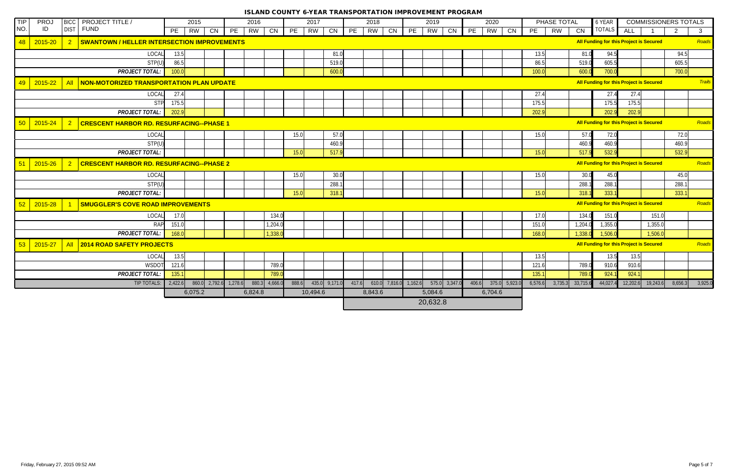| TIP | <b>PROJ</b> | <b>BICC</b>    | <b>PROJECT TITLE /</b>                             | 2015            |    |                         | 2016            |       | 2017            |       |    | 2018                                      |    |    | 2019      |    |    | 2020                  |    |         | PHASE TOTAL      |         | 6 YEAR                                  |            | <b>COMMISSIONERS TOTALS</b> |                |               |
|-----|-------------|----------------|----------------------------------------------------|-----------------|----|-------------------------|-----------------|-------|-----------------|-------|----|-------------------------------------------|----|----|-----------|----|----|-----------------------|----|---------|------------------|---------|-----------------------------------------|------------|-----------------------------|----------------|---------------|
| NO. | ID          | <b>DIST</b>    | FUND                                               | PE<br><b>RW</b> | CN | PE                      | <b>RW</b><br>CN | PE    | RW              | CN    | PE | RW                                        | CN | PE | <b>RW</b> | CN | PE | <b>RW</b>             | CN | PE      | <b>RW</b><br>CN  |         | <b>TOTALS</b>                           | <b>ALL</b> |                             | $\overline{2}$ | $\mathbf{3}$  |
| 48  | 2015-20     |                | <b>SWANTOWN / HELLER INTERSECTION IMPROVEMENTS</b> |                 |    |                         |                 |       |                 |       |    |                                           |    |    |           |    |    |                       |    |         |                  |         | All Funding for this Project is Secured |            |                             |                | Roads         |
|     |             |                | LOCAL                                              | 13.5            |    |                         |                 |       |                 | 81.0  |    |                                           |    |    |           |    |    |                       |    | 13.5    |                  | 81.0    | 94.5                                    |            |                             | 94.5           |               |
|     |             |                | STP(U)                                             | 86.5            |    |                         |                 |       |                 | 519.0 |    |                                           |    |    |           |    |    |                       |    | 86.5    |                  | 519.0   | 605.5                                   |            |                             | 605.5          |               |
|     |             |                | <b>PROJECT TOTAL:</b>                              | 100.0           |    |                         |                 |       |                 | 600.0 |    |                                           |    |    |           |    |    |                       |    | 100.0   |                  | 600.0   | 700.0                                   |            |                             | 700.0          |               |
| 49  | 2015-22     | <b>All</b>     | NON-MOTORIZED TRANSPORTATION PLAN UPDATE           |                 |    |                         |                 |       |                 |       |    |                                           |    |    |           |    |    |                       |    |         |                  |         | All Funding for this Project is Secured |            |                             |                | <b>Trails</b> |
|     |             |                | LOCAL                                              | 27.4            |    |                         |                 |       |                 |       |    |                                           |    |    |           |    |    |                       |    | 27.4    |                  |         | 27.4                                    | 27.4       |                             |                |               |
|     |             |                | <b>STP</b>                                         | 175.5           |    |                         |                 |       |                 |       |    |                                           |    |    |           |    |    |                       |    | 175.5   |                  |         | 175.5                                   | 175.5      |                             |                |               |
|     |             |                | <b>PROJECT TOTAL:</b>                              | 202.9           |    |                         |                 |       |                 |       |    |                                           |    |    |           |    |    |                       |    | 202.9   |                  |         | 202.9                                   | 202.9      |                             |                |               |
| 50  | 2015-24     |                | <b>CRESCENT HARBOR RD. RESURFACING--PHASE 1</b>    |                 |    |                         |                 |       |                 |       |    |                                           |    |    |           |    |    |                       |    |         |                  |         | All Funding for this Project is Secured |            |                             |                | Roads         |
|     |             |                | LOCAL                                              |                 |    |                         |                 | 15.0  |                 | 57.0  |    |                                           |    |    |           |    |    |                       |    | 15.0    |                  | 57.0    | 72.0                                    |            |                             | 72.0           |               |
|     |             |                | STP(U)                                             |                 |    |                         |                 |       |                 | 460.9 |    |                                           |    |    |           |    |    |                       |    |         |                  | 460.9   | 460.9                                   |            |                             | 460.9          |               |
|     |             |                | <b>PROJECT TOTAL:</b>                              |                 |    |                         |                 | 15.0  |                 | 517.9 |    |                                           |    |    |           |    |    |                       |    | 15.0    |                  | 517.9   | 532.9                                   |            |                             | 532.9          |               |
| 51  | 2015-26     | $\overline{2}$ | <b>CRESCENT HARBOR RD. RESURFACING--PHASE 2</b>    |                 |    |                         |                 |       |                 |       |    |                                           |    |    |           |    |    |                       |    |         |                  |         | All Funding for this Project is Secured |            |                             |                | Roads         |
|     |             |                | LOCAL                                              |                 |    |                         |                 | 15.0  |                 | 30.0  |    |                                           |    |    |           |    |    |                       |    | 15.0    |                  | 30.0    | 45.0                                    |            |                             | 45.0           |               |
|     |             |                | STP(U)                                             |                 |    |                         |                 |       |                 | 288.  |    |                                           |    |    |           |    |    |                       |    |         |                  | 288.1   | 288.                                    |            |                             | 288.1          |               |
|     |             |                | <b>PROJECT TOTAL:</b>                              |                 |    |                         |                 | 15.0  |                 | 318.1 |    |                                           |    |    |           |    |    |                       |    | 15.0    |                  | 318.1   | 333.1                                   |            |                             | 333.1          |               |
| 52  | 2015-28     |                | <b>SMUGGLER'S COVE ROAD IMPROVEMENTS</b>           |                 |    |                         |                 |       |                 |       |    |                                           |    |    |           |    |    |                       |    |         |                  |         | All Funding for this Project is Secured |            |                             |                | Roads         |
|     |             |                | LOCAL                                              | 17.0            |    |                         | 134.0           |       |                 |       |    |                                           |    |    |           |    |    |                       |    | 17.0    |                  | 134.0   | 151.0                                   |            | 151.0                       |                |               |
|     |             |                | <b>RAP</b>                                         | 151.0           |    |                         | 1,204.0         |       |                 |       |    |                                           |    |    |           |    |    |                       |    | 151.0   |                  | 1,204.0 | 1,355.0                                 |            | 1,355.0                     |                |               |
|     |             |                | <b>PROJECT TOTAL:</b>                              | 168.0           |    |                         | 1,338.0         |       |                 |       |    |                                           |    |    |           |    |    |                       |    | 168.0   |                  | 1,338.0 | 1,506.0                                 |            | 1,506.0                     |                |               |
| 53  | $2015 - 27$ | <b>All</b>     | <b>2014 ROAD SAFETY PROJECTS</b>                   |                 |    |                         |                 |       |                 |       |    |                                           |    |    |           |    |    |                       |    |         |                  |         | All Funding for this Project is Secured |            |                             |                | Roads         |
|     |             |                | LOCAL                                              | 13.5            |    |                         |                 |       |                 |       |    |                                           |    |    |           |    |    |                       |    | 13.5    |                  |         | 13.5                                    | 13.5       |                             |                |               |
|     |             |                | WSDOT                                              | 121.6           |    |                         | 789.0           |       |                 |       |    |                                           |    |    |           |    |    |                       |    | 121.6   |                  | 789.0   | 910.6                                   | 910.6      |                             |                |               |
|     |             |                | <b>PROJECT TOTAL:</b>                              | 135.1           |    |                         | 789.0           |       |                 |       |    |                                           |    |    |           |    |    |                       |    | 135.1   |                  | 789.0   | 924.                                    | 924.1      |                             |                |               |
|     |             |                | TIP TOTALS:                                        | 2,422.6         |    | $860.0$ 2,792.6 1,278.6 | $880.3$ 4,666.0 | 888.6 | $435.0$ 9,171.0 |       |    | 417.6 610.0 7,816.0 1,162.6 575.0 3,347.0 |    |    |           |    |    | $406.6$ 375.0 5,923.0 |    | 6,576.6 | 3,735.3 33,715.6 |         | 44,027.4                                |            | $12,202.6$ 19,243.6         | 8,656.3        | 3,925.0       |
|     |             |                |                                                    | 6,075.2         |    |                         | 6,824.8         |       | 10,494.6        |       |    | 8,843.6                                   |    |    | 5,084.6   |    |    | 6,704.6               |    |         |                  |         |                                         |            |                             |                |               |
|     |             |                |                                                    |                 |    |                         |                 |       |                 |       |    |                                           |    |    | 20,632.8  |    |    |                       |    |         |                  |         |                                         |            |                             |                |               |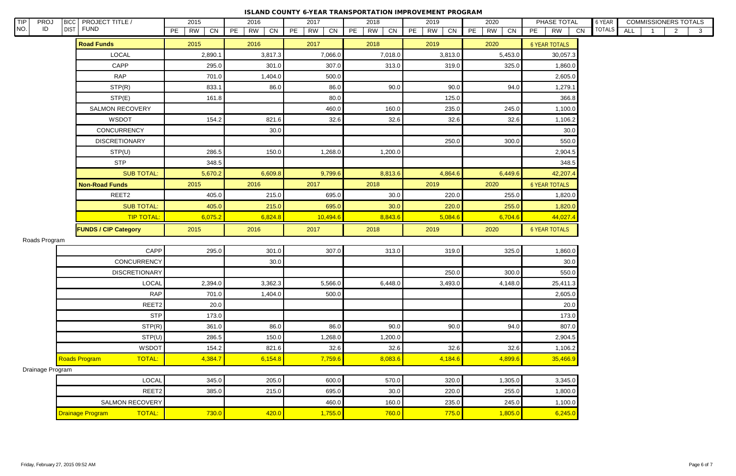| TIP<br>PROJ<br>NO.<br>ID | <b>BICC</b> | <b>PROJECT TITLE /</b><br>DIST FUND | 2015           | 2016                  | 2017                  | 2018                  | 2019           | 2020           | PHASE TOTAL           | 6 YEAR<br><b>COMMISSIONERS TOTALS</b><br><b>TOTALS</b> |
|--------------------------|-------------|-------------------------------------|----------------|-----------------------|-----------------------|-----------------------|----------------|----------------|-----------------------|--------------------------------------------------------|
|                          |             |                                     | PE<br>CN<br>RW | PE<br><b>RW</b><br>CN | PE<br><b>RW</b><br>CN | PE<br><b>RW</b><br>CN | PE<br>CN<br>RW | PE<br>CN<br>RW | PE<br><b>RW</b><br>CN | <b>ALL</b><br>$\overline{2}$<br>3 <sup>1</sup>         |
|                          |             | <b>Road Funds</b>                   | 2015           | 2016                  | 2017                  | 2018                  | 2019           | 2020           | <b>6 YEAR TOTALS</b>  |                                                        |
|                          |             | <b>LOCAL</b>                        | 2,890.1        | 3,817.3               | 7,066.0               | 7,018.0               | 3,813.0        | 5,453.0        | 30,057.3              |                                                        |
|                          |             | CAPP                                | 295.0          | 301.0                 | 307.0                 | 313.0                 | 319.0          | 325.0          | 1,860.0               |                                                        |
|                          |             | <b>RAP</b>                          | 701.0          | 1,404.0               | 500.0                 |                       |                |                | 2,605.0               |                                                        |
|                          |             | STP(R)                              | 833.1          | 86.0                  | 86.0                  | 90.0                  | 90.0           | 94.0           | 1,279.1               |                                                        |
|                          |             | STP(E)                              | 161.8          |                       | 80.0                  |                       | 125.0          |                | 366.8                 |                                                        |
|                          |             | <b>SALMON RECOVERY</b>              |                |                       | 460.0                 | 160.0                 | 235.0          | 245.0          | 1,100.0               |                                                        |
|                          |             | <b>WSDOT</b>                        | 154.2          | 821.6                 | 32.6                  | 32.6                  | 32.6           | 32.6           | 1,106.2               |                                                        |
|                          |             | <b>CONCURRENCY</b>                  |                | 30.0                  |                       |                       |                |                | 30.0                  |                                                        |
|                          |             | <b>DISCRETIONARY</b>                |                |                       |                       |                       | 250.0          | 300.0          | 550.0                 |                                                        |
|                          |             | STP(U)                              | 286.5          | 150.0                 | 1,268.0               | 1,200.0               |                |                | 2,904.5               |                                                        |
|                          |             | <b>STP</b>                          | 348.5          |                       |                       |                       |                |                | 348.5                 |                                                        |
|                          |             | <b>SUB TOTAL:</b>                   | 5,670.2        | 6,609.8               | 9,799.6               | 8,813.6               | 4,864.6        | 6,449.6        | 42,207.4              |                                                        |
|                          |             | <b>Non-Road Funds</b>               | 2015           | 2016                  | 2017                  | 2018                  | 2019           | 2020           | <b>6 YEAR TOTALS</b>  |                                                        |
|                          |             | REET2                               | 405.0          | 215.0                 | 695.0                 | 30.0                  | 220.0          | 255.0          | 1,820.0               |                                                        |
|                          |             | <b>SUB TOTAL:</b>                   | 405.0          | 215.0                 | 695.0                 | 30.0                  | 220.0          | 255.0          | 1,820.0               |                                                        |
|                          |             | TIP TOTAL:                          | 6,075.2        | 6,824.8               | 10,494.6              | 8,843.6               | 5,084.6        | 6,704.6        | 44,027.4              |                                                        |
|                          |             | <b>FUNDS / CIP Category</b>         | 2015           | 2016                  | 2017                  | 2018                  | 2019           | 2020           | <b>6 YEAR TOTALS</b>  |                                                        |
| Roads Program            |             |                                     |                |                       |                       |                       |                |                |                       |                                                        |
|                          |             | CAPP                                | 295.0          | 301.0                 | 307.0                 | 313.0                 | 319.0          | 325.0          | 1,860.0               |                                                        |
|                          |             | CONCURRENCY                         |                | 30.0                  |                       |                       |                |                | 30.0                  |                                                        |
|                          |             | <b>DISCRETIONARY</b>                |                |                       |                       |                       | 250.0          | 300.0          | 550.0                 |                                                        |
|                          |             | LOCAL                               | 2,394.0        | 3,362.3               | 5,566.0               | 6,448.0               | 3,493.0        | 4,148.0        | 25,411.3              |                                                        |
|                          |             | <b>RAP</b>                          | 701.0          | 1,404.0               | 500.0                 |                       |                |                | 2,605.0               |                                                        |
|                          |             | REET2                               | 20.0           |                       |                       |                       |                |                | 20.0                  |                                                        |
|                          |             | <b>STP</b>                          | 173.0          |                       |                       |                       |                |                | 173.0                 |                                                        |
|                          |             | STP(R)                              | 361.0          | 86.0                  | 86.0                  | 90.0                  | 90.0           | 94.0           | 807.0                 |                                                        |
|                          |             | STP(U)                              | 286.5          | 150.0                 | 1,268.0               | 1,200.0               |                |                | 2,904.5               |                                                        |
|                          |             | <b>WSDOT</b>                        | 154.2          | 821.6                 | 32.6                  | 32.6                  | 32.6           | 32.6           | 1,106.2               |                                                        |
|                          |             | <b>Roads Program</b><br>TOTAL:      | 4,384.7        | 6,154.8               | 7,759.6               | 8,083.6               | 4,184.6        | 4,899.6        | 35,466.9              |                                                        |
| Drainage Program         |             |                                     |                |                       |                       |                       |                |                |                       |                                                        |
|                          |             | <b>LOCAL</b>                        | 345.0          | 205.0                 | 600.0                 | 570.0                 | 320.0          | 1,305.0        | 3,345.0               |                                                        |
|                          |             | REET2                               | 385.0          | 215.0                 | 695.0                 | 30.0                  | 220.0          | 255.0          | 1,800.0               |                                                        |
|                          |             | SALMON RECOVERY                     |                |                       | 460.0                 | 160.0                 | 235.0          | 245.0          | 1,100.0               |                                                        |
|                          |             | TOTAL:<br>Drainage Program          | 730.0          | 420.0                 | 1,755.0               | 760.0                 | 775.0          | 1,805.0        | 6,245.0               |                                                        |
|                          |             |                                     |                |                       |                       |                       |                |                |                       |                                                        |
|                          |             |                                     |                |                       |                       |                       |                |                |                       |                                                        |